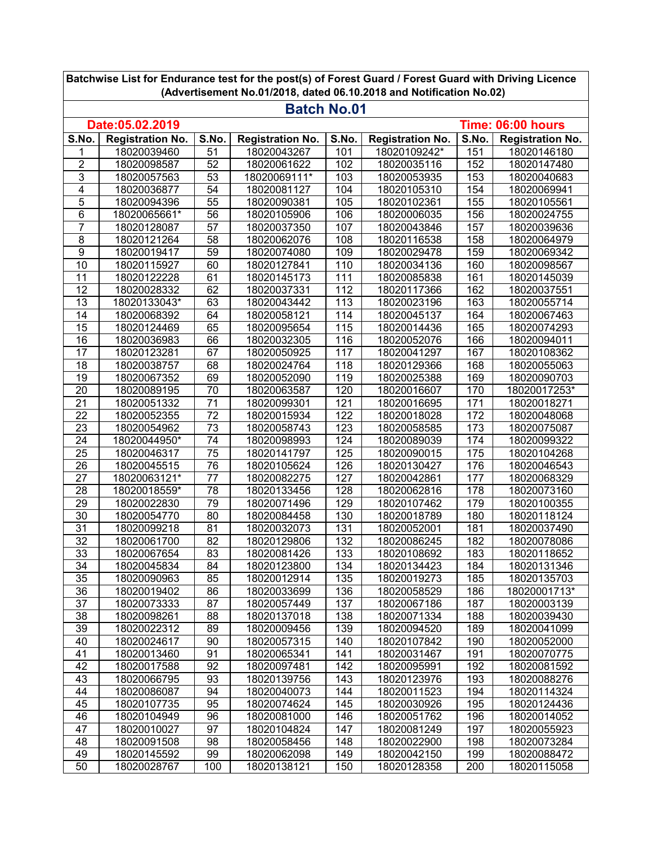| (Advertisement No.01/2018, dated 06.10.2018 and Notification No.02) |                         |                 |                         |                  |                         |       |                         |  |
|---------------------------------------------------------------------|-------------------------|-----------------|-------------------------|------------------|-------------------------|-------|-------------------------|--|
| <b>Batch No.01</b>                                                  |                         |                 |                         |                  |                         |       |                         |  |
| Date:05.02.2019<br>Time: 06:00 hours                                |                         |                 |                         |                  |                         |       |                         |  |
| S.No.                                                               | <b>Registration No.</b> | S.No.           | <b>Registration No.</b> | S.No.            | <b>Registration No.</b> | S.No. | <b>Registration No.</b> |  |
| 1                                                                   | 18020039460             | 51              | 18020043267             | 101              | 18020109242*            | 151   | 18020146180             |  |
| $\overline{2}$                                                      | 18020098587             | 52              | 18020061622             | 102              | 18020035116             | 152   | 18020147480             |  |
| $\overline{3}$                                                      | 18020057563             | $\overline{53}$ | 18020069111*            | 103              | 18020053935             | 153   | 18020040683             |  |
| 4                                                                   | 18020036877             | 54              | 18020081127             | 104              | 18020105310             | 154   | 18020069941             |  |
| 5                                                                   | 18020094396             | 55              | 18020090381             | 105              | 18020102361             | 155   | 18020105561             |  |
| 6                                                                   | 18020065661*            | 56              | 18020105906             | 106              | 18020006035             | 156   | 18020024755             |  |
| $\overline{7}$                                                      | 18020128087             | 57              | 18020037350             | 107              | 18020043846             | 157   | 18020039636             |  |
| $\overline{8}$                                                      | 18020121264             | 58              | 18020062076             | 108              | 18020116538             | 158   | 18020064979             |  |
| $\overline{9}$                                                      | 18020019417             | 59              | 18020074080             | 109              | 18020029478             | 159   | 18020069342             |  |
| 10                                                                  | 18020115927             | 60              | 18020127841             | 110              | 18020034136             | 160   | 18020098567             |  |
| 11                                                                  | 18020122228             | 61              | 18020145173             | 111              | 18020085838             | 161   | 18020145039             |  |
| 12                                                                  | 18020028332             | 62              | 18020037331             | 112              | 18020117366             | 162   | 18020037551             |  |
| 13                                                                  | 18020133043*            | 63              | 18020043442             | 113              | 18020023196             | 163   | 18020055714             |  |
| 14                                                                  | 18020068392             | 64              | 18020058121             | 114              | 18020045137             | 164   | 18020067463             |  |
| $\overline{15}$                                                     | 18020124469             | 65              | 18020095654             | 115              | 18020014436             | 165   | 18020074293             |  |
| $\overline{16}$                                                     | 18020036983             | 66              | 18020032305             | 116              | 18020052076             | 166   | 18020094011             |  |
| $\overline{17}$                                                     | 18020123281             | 67              | 18020050925             | 117              | 18020041297             | 167   | 18020108362             |  |
| 18                                                                  | 18020038757             | 68              | 18020024764             | 118              | 18020129366             | 168   | 18020055063             |  |
| $\overline{19}$                                                     | 18020067352             | 69              | 18020052090             | 119              | 18020025388             | 169   | 18020090703             |  |
| $\overline{20}$                                                     | 18020089195             | 70              | 18020063587             | 120              | 18020016607             | 170   | 18020017253*            |  |
| $\overline{21}$                                                     | 18020051332             | $\overline{71}$ | 18020099301             | 121              | 18020016695             | 171   | 18020018271             |  |
| $\overline{22}$                                                     | 18020052355             | $\overline{72}$ | 18020015934             | $\overline{1}22$ | 18020018028             | 172   | 18020048068             |  |
| $\overline{23}$                                                     | 18020054962             | $\overline{73}$ | 18020058743             | 123              | 18020058585             | 173   | 18020075087             |  |
| 24                                                                  | 18020044950*            | 74              | 18020098993             | 124              | 18020089039             | 174   | 18020099322             |  |
| $\overline{25}$                                                     | 18020046317             | $\overline{75}$ | 18020141797             | 125              | 18020090015             | 175   | 18020104268             |  |
| 26                                                                  | 18020045515             | 76              | 18020105624             | 126              | 18020130427             | 176   | 18020046543             |  |
| 27                                                                  | 18020063121*            | 77              | 18020082275             | 127              | 18020042861             | 177   | 18020068329             |  |
| 28                                                                  | 18020018559*            | $\overline{78}$ | 18020133456             | 128              | 18020062816             | 178   | 18020073160             |  |
| 29                                                                  | 18020022830             | 79              | 18020071496             | 129              | 18020107462             | 179   | 18020100355             |  |
| 30                                                                  | 18020054770             | 80              | 18020084458             | 130              | 18020018789             | 180   | 18020118124             |  |
| $\overline{31}$                                                     | 18020099218             | 81              | 18020032073             | 131              | 18020052001             | 181   | 18020037490             |  |
| 32                                                                  | 18020061700             | 82              | 18020129806             | 132              | 18020086245             | 182   | 18020078086             |  |
| 33                                                                  | 18020067654             | 83              | 18020081426             | 133              | 18020108692             | 183   | 18020118652             |  |
| $\overline{34}$                                                     | 18020045834             | 84              | 18020123800             | 134              | 18020134423             | 184   | 18020131346             |  |
| 35                                                                  | 18020090963             | 85              | 18020012914             | 135              | 18020019273             | 185   | 18020135703             |  |
| 36                                                                  | 18020019402             | 86              | 18020033699             | 136              | 18020058529             | 186   | 18020001713*            |  |
| 37                                                                  | 18020073333             | 87              | 18020057449             | 137              | 18020067186             | 187   | 18020003139             |  |
| 38                                                                  | 18020098261             | 88              | 18020137018             | 138              | 18020071334             | 188   | 18020039430             |  |
| 39                                                                  | 18020022312             | 89              | 18020009456             | 139              | 18020094520             | 189   | 18020041099             |  |
| 40                                                                  | 18020024617             | 90              | 18020057315             | 140              | 18020107842             | 190   | 18020052000             |  |
| 41                                                                  | 18020013460             | 91              | 18020065341             | 141              | 18020031467             | 191   | 18020070775             |  |
| 42                                                                  | 18020017588             | 92              | 18020097481             | 142              | 18020095991             | 192   | 18020081592             |  |
| 43                                                                  | 18020066795             | 93              | 18020139756             | 143              | 18020123976             | 193   | 18020088276             |  |
| 44                                                                  | 18020086087             | 94              | 18020040073             | 144              | 18020011523             | 194   | 18020114324             |  |
| 45                                                                  | 18020107735             | 95              | 18020074624             | 145              | 18020030926             | 195   | 18020124436             |  |
| 46                                                                  | 18020104949             | 96              | 18020081000             | 146              | 18020051762             | 196   | 18020014052             |  |
| 47                                                                  | 18020010027             | 97              | 18020104824             | 147              | 18020081249             | 197   | 18020055923             |  |
| 48                                                                  | 18020091508             | 98              | 18020058456             | 148              | 18020022900             | 198   | 18020073284             |  |
| 49                                                                  | 18020145592             | 99              | 18020062098             | 149              | 18020042150             | 199   | 18020088472             |  |
| 50                                                                  | 18020028767             | 100             | 18020138121             | 150              | 18020128358             | 200   | 18020115058             |  |

**Batchwise List for Endurance test for the post(s) of Forest Guard / Forest Guard with Driving Licence (Advertisement No.01/2018, dated 06.10.2018 and Notification No.02)**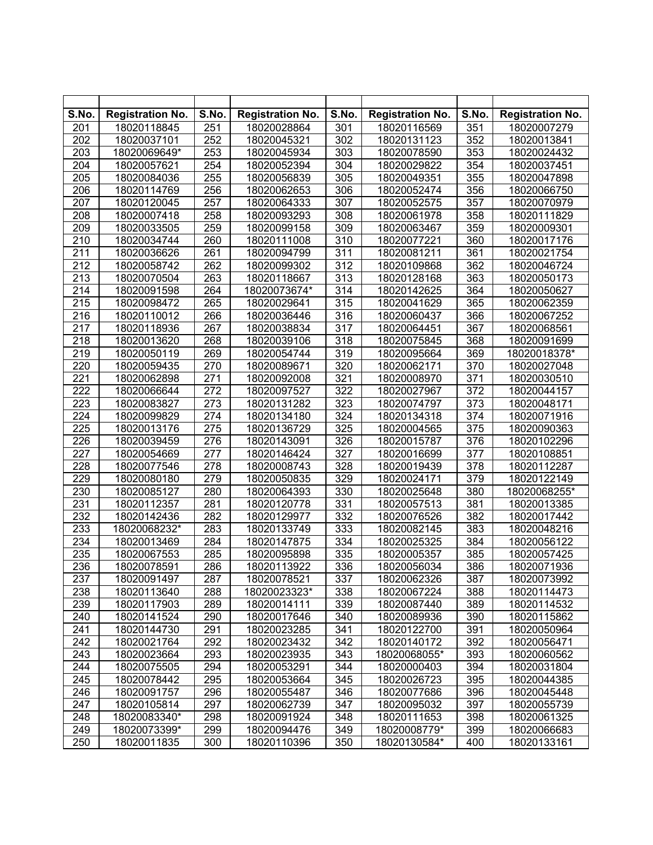| S.No.            | <b>Registration No.</b> | S.No. | <b>Registration No.</b> | S.No.            | <b>Registration No.</b> | S.No. | <b>Registration No.</b> |
|------------------|-------------------------|-------|-------------------------|------------------|-------------------------|-------|-------------------------|
| 201              | 18020118845             | 251   | 18020028864             | 301              | 18020116569             | 351   | 18020007279             |
| 202              | 18020037101             | 252   | 18020045321             | 302              | 18020131123             | 352   | 18020013841             |
| 203              | 18020069649*            | 253   | 18020045934             | 303              | 18020078590             | 353   | 18020024432             |
| 204              | 18020057621             | 254   | 18020052394             | 304              | 18020029822             | 354   | 18020037451             |
| 205              | 18020084036             | 255   | 18020056839             | 305              | 18020049351             | 355   | 18020047898             |
| 206              | 18020114769             | 256   | 18020062653             | 306              | 18020052474             | 356   | 18020066750             |
| 207              | 18020120045             | 257   | 18020064333             | 307              | 18020052575             | 357   | 18020070979             |
| 208              | 18020007418             | 258   | 18020093293             | 308              | 18020061978             | 358   | 18020111829             |
| 209              | 18020033505             | 259   | 18020099158             | 309              | 18020063467             | 359   | 18020009301             |
| 210              | 18020034744             | 260   | 18020111008             | 310              | 18020077221             | 360   | 18020017176             |
| 211              | 18020036626             | 261   | 18020094799             | $\overline{311}$ | 18020081211             | 361   | 18020021754             |
| 212              | 18020058742             | 262   | 18020099302             | $\overline{312}$ | 18020109868             | 362   | 18020046724             |
| 213              | 18020070504             | 263   | 18020118667             | 313              | 18020128168             | 363   | 18020050173             |
| 214              | 18020091598             | 264   | 18020073674*            | 314              | 18020142625             | 364   | 18020050627             |
| 215              | 18020098472             | 265   | 18020029641             | 315              | 18020041629             | 365   | 18020062359             |
| 216              | 18020110012             | 266   | 18020036446             | $\overline{3}16$ | 18020060437             | 366   | 18020067252             |
| $\overline{217}$ | 18020118936             | 267   | 18020038834             | $\overline{317}$ | 18020064451             | 367   | 18020068561             |
| 218              | 18020013620             | 268   | 18020039106             | 318              | 18020075845             | 368   | 18020091699             |
| 219              | 18020050119             | 269   | 18020054744             | 319              | 18020095664             | 369   | 18020018378*            |
| 220              | 18020059435             | 270   | 18020089671             | 320              | 18020062171             | 370   | 18020027048             |
| 221              | 18020062898             | 271   | 18020092008             | 321              | 18020008970             | 371   | 18020030510             |
| 222              | 18020066644             | 272   | 18020097527             | 322              | 18020027967             | 372   | 18020044157             |
| 223              | 18020083827             | 273   | 18020131282             | 323              | 18020074797             | 373   | 18020048171             |
| 224              | 18020099829             | 274   | 18020134180             | 324              | 18020134318             | 374   | 18020071916             |
| 225              | 18020013176             | 275   | 18020136729             | 325              | 18020004565             | 375   | 18020090363             |
| 226              | 18020039459             | 276   | 18020143091             | 326              | 18020015787             | 376   | 18020102296             |
| 227              | 18020054669             | 277   | 18020146424             | 327              | 18020016699             | 377   | 18020108851             |
| 228              | 18020077546             | 278   | 18020008743             | 328              | 18020019439             | 378   | 18020112287             |
| 229              | 18020080180             | 279   | 18020050835             | 329              | 18020024171             | 379   | 18020122149             |
| 230              | 18020085127             | 280   | 18020064393             | 330              | 18020025648             | 380   | 18020068255*            |
| 231              | 18020112357             | 281   | 18020120778             | 331              | 18020057513             | 381   | 18020013385             |
| 232              | 18020142436             | 282   | 18020129977             | 332              | 18020076526             | 382   | 18020017442             |
| 233              | 18020068232*            | 283   | 18020133749             | 333              | 18020082145             | 383   | 18020048216             |
| 234              | 18020013469             | 284   | 18020147875             | 334              | 18020025325             | 384   | 18020056122             |
| 235              | 18020067553             | 285   | 18020095898             | 335              | 18020005357             | 385   | 18020057425             |
| 236              | 18020078591             | 286   | 18020113922             | 336              | 18020056034             | 386   | 18020071936             |
| 237              | 18020091497             | 287   | 18020078521             | 337              | 18020062326             | 387   | 18020073992             |
| 238              | 18020113640             | 288   | 18020023323*            | 338              | 18020067224             | 388   | 18020114473             |
| 239              | 18020117903             | 289   | 18020014111             | 339              | 18020087440             | 389   | 18020114532             |
| 240              | 18020141524             | 290   | 18020017646             | 340              | 18020089936             | 390   | 18020115862             |
| 241              | 18020144730             | 291   | 18020023285             | 341              | 18020122700             | 391   | 18020050964             |
| 242              | 18020021764             | 292   | 18020023432             | 342              | 18020140172             | 392   | 18020056471             |
| 243              | 18020023664             | 293   | 18020023935             | 343              | 18020068055*            | 393   | 18020060562             |
| 244              | 18020075505             | 294   | 18020053291             | 344              | 18020000403             | 394   | 18020031804             |
| 245              | 18020078442             | 295   | 18020053664             | 345              | 18020026723             | 395   | 18020044385             |
| 246              | 18020091757             | 296   | 18020055487             | 346              | 18020077686             | 396   | 18020045448             |
| 247              | 18020105814             | 297   | 18020062739             | 347              | 18020095032             | 397   | 18020055739             |
| 248              | 18020083340*            | 298   | 18020091924             | 348              | 18020111653             | 398   | 18020061325             |
| 249              | 18020073399*            | 299   | 18020094476             | 349              | 18020008779*            | 399   | 18020066683             |
| 250              | 18020011835             | 300   | 18020110396             | 350              | 18020130584*            | 400   | 18020133161             |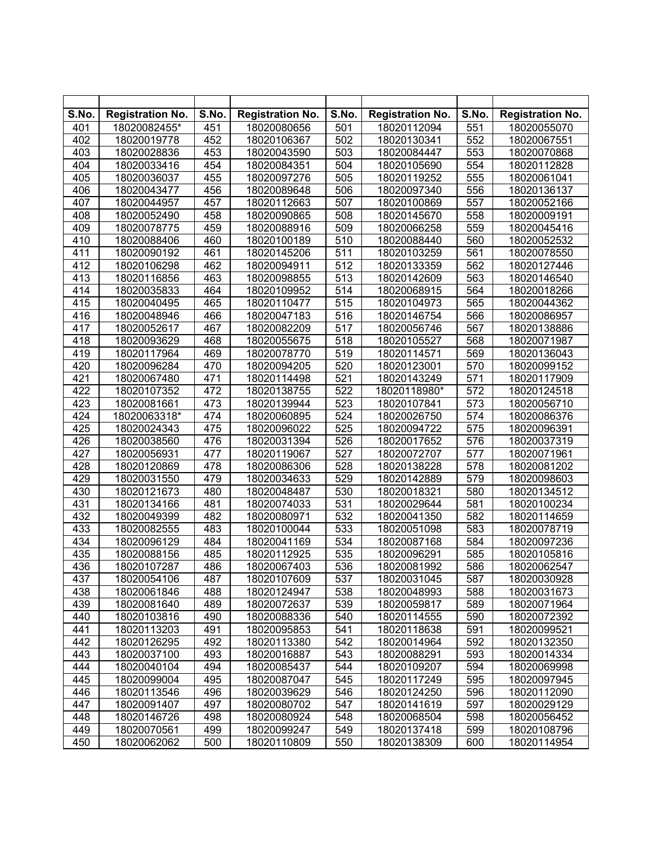| S.No. | <b>Registration No.</b> | S.No. | <b>Registration No.</b> | S.No.            | <b>Registration No.</b> | S.No. | <b>Registration No.</b> |
|-------|-------------------------|-------|-------------------------|------------------|-------------------------|-------|-------------------------|
| 401   | 18020082455*            | 451   | 18020080656             | 501              | 18020112094             | 551   | 18020055070             |
| 402   | 18020019778             | 452   | 18020106367             | 502              | 18020130341             | 552   | 18020067551             |
| 403   | 18020028836             | 453   | 18020043590             | 503              | 18020084447             | 553   | 18020070868             |
| 404   | 18020033416             | 454   | 18020084351             | 504              | 18020105690             | 554   | 18020112828             |
| 405   | 18020036037             | 455   | 18020097276             | 505              | 18020119252             | 555   | 18020061041             |
| 406   | 18020043477             | 456   | 18020089648             | 506              | 18020097340             | 556   | 18020136137             |
| 407   | 18020044957             | 457   | 18020112663             | 507              | 18020100869             | 557   | 18020052166             |
| 408   | 18020052490             | 458   | 18020090865             | 508              | 18020145670             | 558   | 18020009191             |
| 409   | 18020078775             | 459   | 18020088916             | 509              | 18020066258             | 559   | 18020045416             |
| 410   | 18020088406             | 460   | 18020100189             | 510              | 18020088440             | 560   | 18020052532             |
| 411   | 18020090192             | 461   | 18020145206             | $\overline{511}$ | 18020103259             | 561   | 18020078550             |
| 412   | 18020106298             | 462   | 18020094911             | $\overline{512}$ | 18020133359             | 562   | 18020127446             |
| 413   | 18020116856             | 463   | 18020098855             | 513              | 18020142609             | 563   | 18020146540             |
| 414   | 18020035833             | 464   | 18020109952             | $\overline{514}$ | 18020068915             | 564   | 18020018266             |
| 415   | 18020040495             | 465   | 18020110477             | 515              | 18020104973             | 565   | 18020044362             |
| 416   | 18020048946             | 466   | 18020047183             | 516              | 18020146754             | 566   | 18020086957             |
| 417   | 18020052617             | 467   | 18020082209             | $\overline{517}$ | 18020056746             | 567   | 18020138886             |
| 418   | 18020093629             | 468   | 18020055675             | 518              | 18020105527             | 568   | 18020071987             |
| 419   | 18020117964             | 469   | 18020078770             | 519              | 18020114571             | 569   | 18020136043             |
| 420   | 18020096284             | 470   | 18020094205             | 520              | 18020123001             | 570   | 18020099152             |
| 421   | 18020067480             | 471   | 18020114498             | 521              | 18020143249             | 571   | 18020117909             |
| 422   | 18020107352             | 472   | 18020138755             | 522              | 18020118980*            | 572   | 18020124518             |
| 423   | 18020081661             | 473   | 18020139944             | $\overline{523}$ | 18020107841             | 573   | 18020056710             |
| 424   | 18020063318*            | 474   | 18020060895             | 524              | 18020026750             | 574   | 18020086376             |
| 425   | 18020024343             | 475   | 18020096022             | 525              | 18020094722             | 575   | 18020096391             |
| 426   | 18020038560             | 476   | 18020031394             | 526              | 18020017652             | 576   | 18020037319             |
| 427   | 18020056931             | 477   | 18020119067             | 527              | 18020072707             | 577   | 18020071961             |
| 428   | 18020120869             | 478   | 18020086306             | 528              | 18020138228             | 578   | 18020081202             |
| 429   | 18020031550             | 479   | 18020034633             | 529              | 18020142889             | 579   | 18020098603             |
| 430   | 18020121673             | 480   | 18020048487             | 530              | 18020018321             | 580   | 18020134512             |
| 431   | 18020134166             | 481   | 18020074033             | 531              | 18020029644             | 581   | 18020100234             |
| 432   | 18020049399             | 482   | 18020080971             | 532              | 18020041350             | 582   | 18020114659             |
| 433   | 18020082555             | 483   | 18020100044             | 533              | 18020051098             | 583   | 18020078719             |
| 434   | 18020096129             | 484   | 18020041169             | 534              | 18020087168             | 584   | 18020097236             |
| 435   | 18020088156             | 485   | 18020112925             | 535              | 18020096291             | 585   | 18020105816             |
| 436   | 18020107287             | 486   | 18020067403             | 536              | 18020081992             | 586   | 18020062547             |
| 437   | 18020054106             | 487   | 18020107609             | 537              | 18020031045             | 587   | 18020030928             |
| 438   | 18020061846             | 488   | 18020124947             | 538              | 18020048993             | 588   | 18020031673             |
| 439   | 18020081640             | 489   | 18020072637             | 539              | 18020059817             | 589   | 18020071964             |
| 440   | 18020103816             | 490   | 18020088336             | 540              | 18020114555             | 590   | 18020072392             |
| 441   | 18020113203             | 491   | 18020095853             | 541              | 18020118638             | 591   | 18020099521             |
| 442   | 18020126295             | 492   | 18020113380             | 542              | 18020014964             | 592   | 18020132350             |
| 443   | 18020037100             | 493   | 18020016887             | 543              | 18020088291             | 593   | 18020014334             |
| 444   | 18020040104             | 494   | 18020085437             | 544              | 18020109207             | 594   | 18020069998             |
| 445   | 18020099004             | 495   | 18020087047             | 545              | 18020117249             | 595   | 18020097945             |
| 446   | 18020113546             | 496   | 18020039629             | 546              | 18020124250             | 596   | 18020112090             |
| 447   | 18020091407             | 497   | 18020080702             | 547              | 18020141619             | 597   | 18020029129             |
| 448   | 18020146726             | 498   | 18020080924             | 548              | 18020068504             | 598   | 18020056452             |
| 449   | 18020070561             | 499   | 18020099247             | 549              | 18020137418             | 599   | 18020108796             |
| 450   | 18020062062             | 500   | 18020110809             | 550              | 18020138309             | 600   | 18020114954             |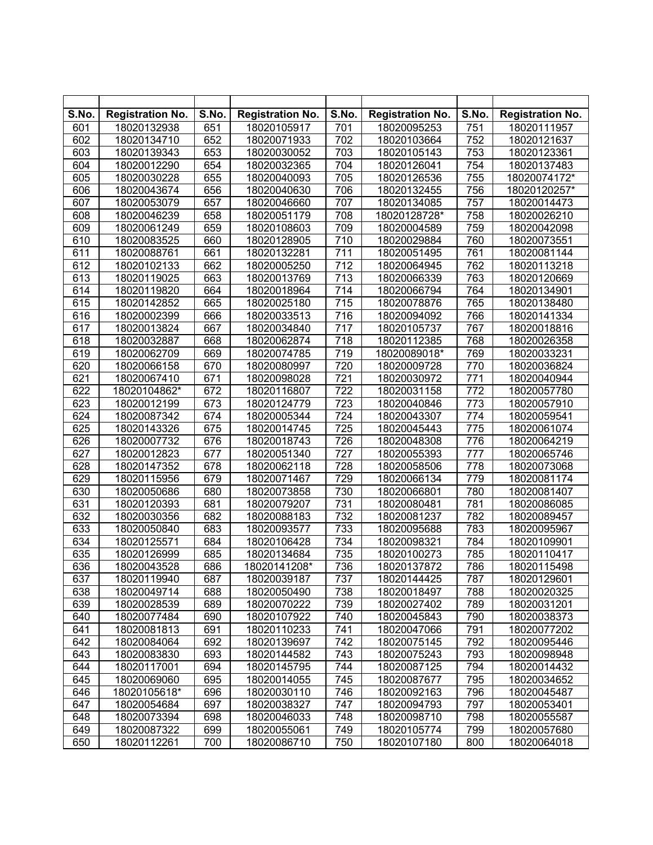| S.No. | <b>Registration No.</b> | S.No. | <b>Registration No.</b> | S.No.            | <b>Registration No.</b> | S.No. | <b>Registration No.</b> |
|-------|-------------------------|-------|-------------------------|------------------|-------------------------|-------|-------------------------|
| 601   | 18020132938             | 651   | 18020105917             | 701              | 18020095253             | 751   | 18020111957             |
| 602   | 18020134710             | 652   | 18020071933             | 702              | 18020103664             | 752   | 18020121637             |
| 603   | 18020139343             | 653   | 18020030052             | 703              | 18020105143             | 753   | 18020123361             |
| 604   | 18020012290             | 654   | 18020032365             | 704              | 18020126041             | 754   | 18020137483             |
| 605   | 18020030228             | 655   | 18020040093             | 705              | 18020126536             | 755   | 18020074172*            |
| 606   | 18020043674             | 656   | 18020040630             | 706              | 18020132455             | 756   | 18020120257*            |
| 607   | 18020053079             | 657   | 18020046660             | 707              | 18020134085             | 757   | 18020014473             |
| 608   | 18020046239             | 658   | 18020051179             | 708              | 18020128728*            | 758   | 18020026210             |
| 609   | 18020061249             | 659   | 18020108603             | 709              | 18020004589             | 759   | 18020042098             |
| 610   | 18020083525             | 660   | 18020128905             | 710              | 18020029884             | 760   | 18020073551             |
| 611   | 18020088761             | 661   | 18020132281             | $\overline{711}$ | 18020051495             | 761   | 18020081144             |
| 612   | 18020102133             | 662   | 18020005250             | 712              | 18020064945             | 762   | 18020113218             |
| 613   | 18020119025             | 663   | 18020013769             | 713              | 18020066339             | 763   | 18020120669             |
| 614   | 18020119820             | 664   | 18020018964             | $\overline{714}$ | 18020066794             | 764   | 18020134901             |
| 615   | 18020142852             | 665   | 18020025180             | 715              | 18020078876             | 765   | 18020138480             |
| 616   | 18020002399             | 666   | 18020033513             | 716              | 18020094092             | 766   | 18020141334             |
| 617   | 18020013824             | 667   | 18020034840             | 717              | 18020105737             | 767   | 18020018816             |
| 618   | 18020032887             | 668   | 18020062874             | 718              | 18020112385             | 768   | 18020026358             |
| 619   | 18020062709             | 669   | 18020074785             | 719              | 18020089018*            | 769   | 18020033231             |
| 620   | 18020066158             | 670   | 18020080997             | 720              | 18020009728             | 770   | 18020036824             |
| 621   | 18020067410             | 671   | 18020098028             | 721              | 18020030972             | 771   | 18020040944             |
| 622   | 18020104862*            | 672   | 18020116807             | 722              | 18020031158             | 772   | 18020057780             |
| 623   | 18020012199             | 673   | 18020124779             | 723              | 18020040846             | 773   | 18020057910             |
| 624   | 18020087342             | 674   | 18020005344             | 724              | 18020043307             | 774   | 18020059541             |
| 625   | 18020143326             | 675   | 18020014745             | 725              | 18020045443             | 775   | 18020061074             |
| 626   | 18020007732             | 676   | 18020018743             | 726              | 18020048308             | 776   | 18020064219             |
| 627   | 18020012823             | 677   | 18020051340             | 727              | 18020055393             | 777   | 18020065746             |
| 628   | 18020147352             | 678   | 18020062118             | 728              | 18020058506             | 778   | 18020073068             |
| 629   | 18020115956             | 679   | 18020071467             | 729              | 18020066134             | 779   | 18020081174             |
| 630   | 18020050686             | 680   | 18020073858             | 730              | 18020066801             | 780   | 18020081407             |
| 631   | 18020120393             | 681   | 18020079207             | 731              | 18020080481             | 781   | 18020086085             |
| 632   | 18020030356             | 682   | 18020088183             | 732              | 18020081237             | 782   | 18020089457             |
| 633   | 18020050840             | 683   | 18020093577             | 733              | 18020095688             | 783   | 18020095967             |
| 634   | 18020125571             | 684   | 18020106428             | 734              | 18020098321             | 784   | 18020109901             |
| 635   | 18020126999             | 685   | 18020134684             | 735              | 18020100273             | 785   | 18020110417             |
| 636   | 18020043528             | 686   | 18020141208*            | 736              | 18020137872             | 786   | 18020115498             |
| 637   | 18020119940             | 687   | 18020039187             | 737              | 18020144425             | 787   | 18020129601             |
| 638   | 18020049714             | 688   | 18020050490             | 738              | 18020018497             | 788   | 18020020325             |
| 639   | 18020028539             | 689   | 18020070222             | 739              | 18020027402             | 789   | 18020031201             |
| 640   | 18020077484             | 690   | 18020107922             | 740              | 18020045843             | 790   | 18020038373             |
| 641   | 18020081813             | 691   | 18020110233             | 741              | 18020047066             | 791   | 18020077202             |
| 642   | 18020084064             | 692   | 18020139697             | 742              | 18020075145             | 792   | 18020095446             |
| 643   | 18020083830             | 693   | 18020144582             | 743              | 18020075243             | 793   | 18020098948             |
| 644   | 18020117001             | 694   | 18020145795             | 744              | 18020087125             | 794   | 18020014432             |
| 645   | 18020069060             | 695   | 18020014055             | 745              | 18020087677             | 795   | 18020034652             |
| 646   | 18020105618*            | 696   | 18020030110             | 746              | 18020092163             | 796   | 18020045487             |
| 647   | 18020054684             | 697   | 18020038327             | 747              | 18020094793             | 797   | 18020053401             |
| 648   | 18020073394             | 698   | 18020046033             | 748              | 18020098710             | 798   | 18020055587             |
| 649   | 18020087322             | 699   | 18020055061             | 749              | 18020105774             | 799   | 18020057680             |
| 650   | 18020112261             | 700   | 18020086710             | 750              | 18020107180             | 800   | 18020064018             |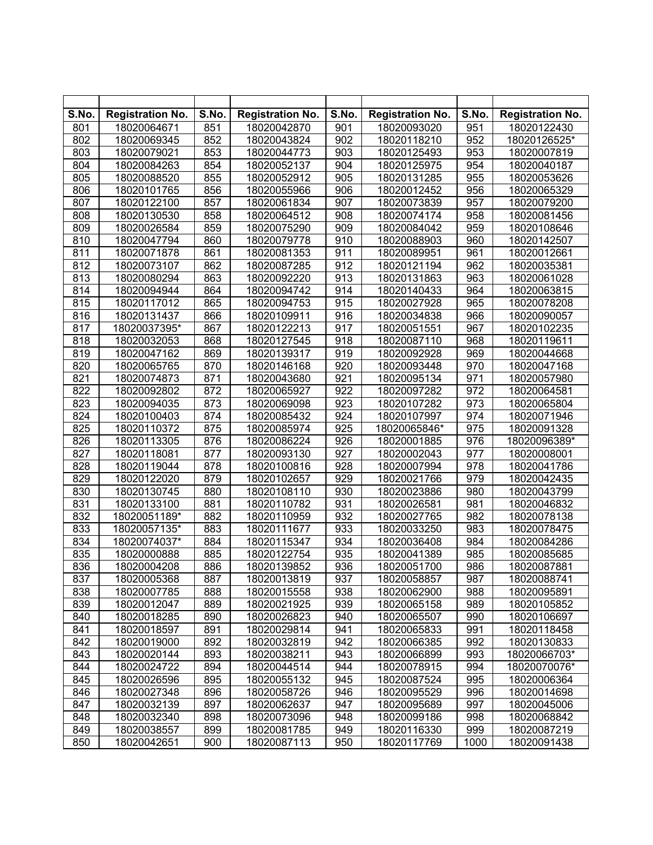| S.No. | <b>Registration No.</b> | S.No.            | <b>Registration No.</b> | S.No.            | <b>Registration No.</b> | S.No. | <b>Registration No.</b> |
|-------|-------------------------|------------------|-------------------------|------------------|-------------------------|-------|-------------------------|
| 801   | 18020064671             | 851              | 18020042870             | 901              | 18020093020             | 951   | 18020122430             |
| 802   | 18020069345             | 852              | 18020043824             | 902              | 18020118210             | 952   | 18020126525*            |
| 803   | 18020079021             | 853              | 18020044773             | 903              | 18020125493             | 953   | 18020007819             |
| 804   | 18020084263             | 854              | 18020052137             | 904              | 18020125975             | 954   | 18020040187             |
| 805   | 18020088520             | 855              | 18020052912             | 905              | 18020131285             | 955   | 18020053626             |
| 806   | 18020101765             | 856              | 18020055966             | 906              | 18020012452             | 956   | 18020065329             |
| 807   | 18020122100             | 857              | 18020061834             | 907              | 18020073839             | 957   | 18020079200             |
| 808   | 18020130530             | 858              | 18020064512             | 908              | 18020074174             | 958   | 18020081456             |
| 809   | 18020026584             | 859              | 18020075290             | 909              | 18020084042             | 959   | 18020108646             |
| 810   | 18020047794             | 860              | 18020079778             | 910              | 18020088903             | 960   | 18020142507             |
| 811   | 18020071878             | 861              | 18020081353             | $\overline{911}$ | 18020089951             | 961   | 18020012661             |
| 812   | 18020073107             | 862              | 18020087285             | 912              | 18020121194             | 962   | 18020035381             |
| 813   | 18020080294             | 863              | 18020092220             | 913              | 18020131863             | 963   | 18020061028             |
| 814   | 18020094944             | 864              | 18020094742             | 914              | 18020140433             | 964   | 18020063815             |
| 815   | 18020117012             | 865              | 18020094753             | 915              | 18020027928             | 965   | 18020078208             |
| 816   | 18020131437             | 866              | 18020109911             | 916              | 18020034838             | 966   | 18020090057             |
| 817   | 18020037395*            | 867              | 18020122213             | 917              | 18020051551             | 967   | 18020102235             |
| 818   | 18020032053             | 868              | 18020127545             | 918              | 18020087110             | 968   | 18020119611             |
| 819   | 18020047162             | 869              | 18020139317             | 919              | 18020092928             | 969   | 18020044668             |
| 820   | 18020065765             | 870              | 18020146168             | 920              | 18020093448             | 970   | 18020047168             |
| 821   | 18020074873             | 871              | 18020043680             | 921              | 18020095134             | 971   | 18020057980             |
| 822   | 18020092802             | $\overline{872}$ | 18020065927             | 922              | 18020097282             | 972   | 18020064581             |
| 823   | 18020094035             | 873              | 18020069098             | 923              | 18020107282             | 973   | 18020065804             |
| 824   | 18020100403             | 874              | 18020085432             | 924              | 18020107997             | 974   | 18020071946             |
| 825   | 18020110372             | 875              | 18020085974             | 925              | 18020065846*            | 975   | 18020091328             |
| 826   | 18020113305             | 876              | 18020086224             | 926              | 18020001885             | 976   | 18020096389*            |
| 827   | 18020118081             | 877              | 18020093130             | 927              | 18020002043             | 977   | 18020008001             |
| 828   | 18020119044             | 878              | 18020100816             | 928              | 18020007994             | 978   | 18020041786             |
| 829   | 18020122020             | 879              | 18020102657             | 929              | 18020021766             | 979   | 18020042435             |
| 830   | 18020130745             | 880              | 18020108110             | 930              | 18020023886             | 980   | 18020043799             |
| 831   | 18020133100             | 881              | 18020110782             | 931              | 18020026581             | 981   | 18020046832             |
| 832   | 18020051189*            | 882              | 18020110959             | 932              | 18020027765             | 982   | 18020078138             |
| 833   | 18020057135*            | 883              | 18020111677             | 933              | 18020033250             | 983   | 18020078475             |
| 834   | 18020074037*            | 884              | 18020115347             | 934              | 18020036408             | 984   | 18020084286             |
| 835   | 18020000888             | 885              | 18020122754             | 935              | 18020041389             | 985   | 18020085685             |
| 836   | 18020004208             | 886              | 18020139852             | 936              | 18020051700             | 986   | 18020087881             |
| 837   | 18020005368             | 887              | 18020013819             | 937              | 18020058857             | 987   | 18020088741             |
| 838   | 18020007785             | 888              | 18020015558             | 938              | 18020062900             | 988   | 18020095891             |
| 839   | 18020012047             | 889              | 18020021925             | 939              | 18020065158             | 989   | 18020105852             |
| 840   | 18020018285             | 890              | 18020026823             | 940              | 18020065507             | 990   | 18020106697             |
| 841   | 18020018597             | 891              | 18020029814             | 941              | 18020065833             | 991   | 18020118458             |
| 842   | 18020019000             | 892              | 18020032819             | 942              | 18020066385             | 992   | 18020130833             |
| 843   | 18020020144             | 893              | 18020038211             | 943              | 18020066899             | 993   | 18020066703*            |
| 844   | 18020024722             | 894              | 18020044514             | 944              | 18020078915             | 994   | 18020070076*            |
| 845   | 18020026596             | 895              | 18020055132             | 945              | 18020087524             | 995   | 18020006364             |
| 846   | 18020027348             | 896              | 18020058726             | 946              | 18020095529             | 996   | 18020014698             |
| 847   | 18020032139             | 897              | 18020062637             | 947              | 18020095689             | 997   | 18020045006             |
| 848   | 18020032340             | 898              | 18020073096             | 948              | 18020099186             | 998   | 18020068842             |
| 849   | 18020038557             | 899              | 18020081785             | 949              | 18020116330             | 999   | 18020087219             |
| 850   | 18020042651             | 900              | 18020087113             | 950              | 18020117769             | 1000  | 18020091438             |